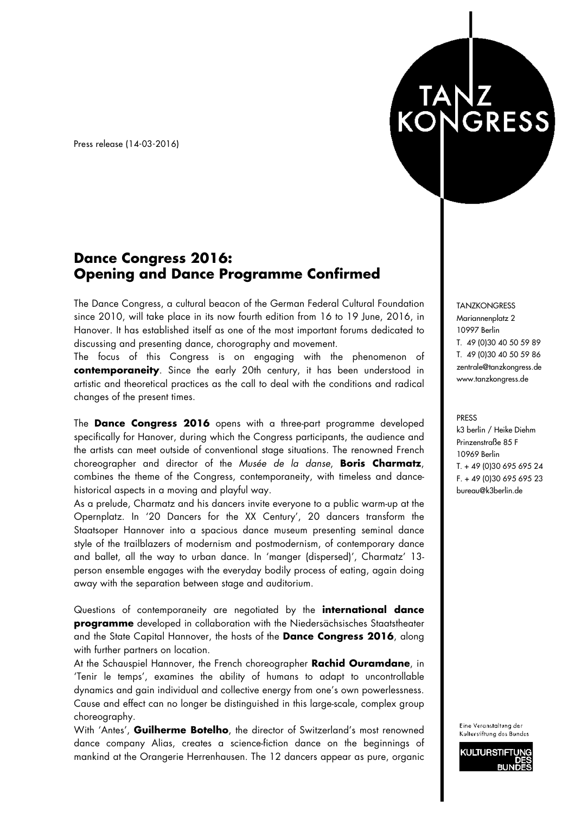Press release (14-03-2016)

## **Dance Congress 2016: Opening and Dance Programme Confirmed**

The Dance Congress, a cultural beacon of the German Federal Cultural Foundation since 2010, will take place in its now fourth edition from 16 to 19 June, 2016, in Hanover. It has established itself as one of the most important forums dedicated to discussing and presenting dance, chorography and movement.

The focus of this Congress is on engaging with the phenomenon of **contemporaneity**. Since the early 20th century, it has been understood in artistic and theoretical practices as the call to deal with the conditions and radical changes of the present times.

The **Dance Congress 2016** opens with a three-part programme developed specifically for Hanover, during which the Congress participants, the audience and the artists can meet outside of conventional stage situations. The renowned French choreographer and director of the *Musée de la danse*, **Boris Charmatz**, combines the theme of the Congress, contemporaneity, with timeless and dancehistorical aspects in a moving and playful way.

As a prelude, Charmatz and his dancers invite everyone to a public warm-up at the Opernplatz. In '20 Dancers for the XX Century', 20 dancers transform the Staatsoper Hannover into a spacious dance museum presenting seminal dance style of the trailblazers of modernism and postmodernism, of contemporary dance and ballet, all the way to urban dance. In 'manger (dispersed)', Charmatz' 13 person ensemble engages with the everyday bodily process of eating, again doing away with the separation between stage and auditorium.

Questions of contemporaneity are negotiated by the **international dance programme** developed in collaboration with the Niedersächsisches Staatstheater and the State Capital Hannover, the hosts of the **Dance Congress 2016**, along with further partners on location.

At the Schauspiel Hannover, the French choreographer **Rachid Ouramdane**, in 'Tenir le temps', examines the ability of humans to adapt to uncontrollable dynamics and gain individual and collective energy from one's own powerlessness. Cause and effect can no longer be distinguished in this large-scale, complex group choreography.

With 'Antes', **Guilherme Botelho**, the director of Switzerland's most renowned dance company Alias, creates a science-fiction dance on the beginnings of mankind at the Orangerie Herrenhausen. The 12 dancers appear as pure, organic

**TANZKONGRESS** Mariannenplatz 2 10997 Berlin T. 49 (0)30 40 50 59 89 T. 49 (0)30 40 50 59 86 zentrale@tanzkongress.de www.tanzkongress.de

TANZ<br>KONGRESS

PRESS k3 berlin / Heike Diehm Prinzenstraße 85 F 10969 Berlin T. + 49 (0)30 695 695 24 F. + 49 (0)30 695 695 23 bureau@k3berlin.de

Eine Veranstaltung der Kulturstiftung des Bundes